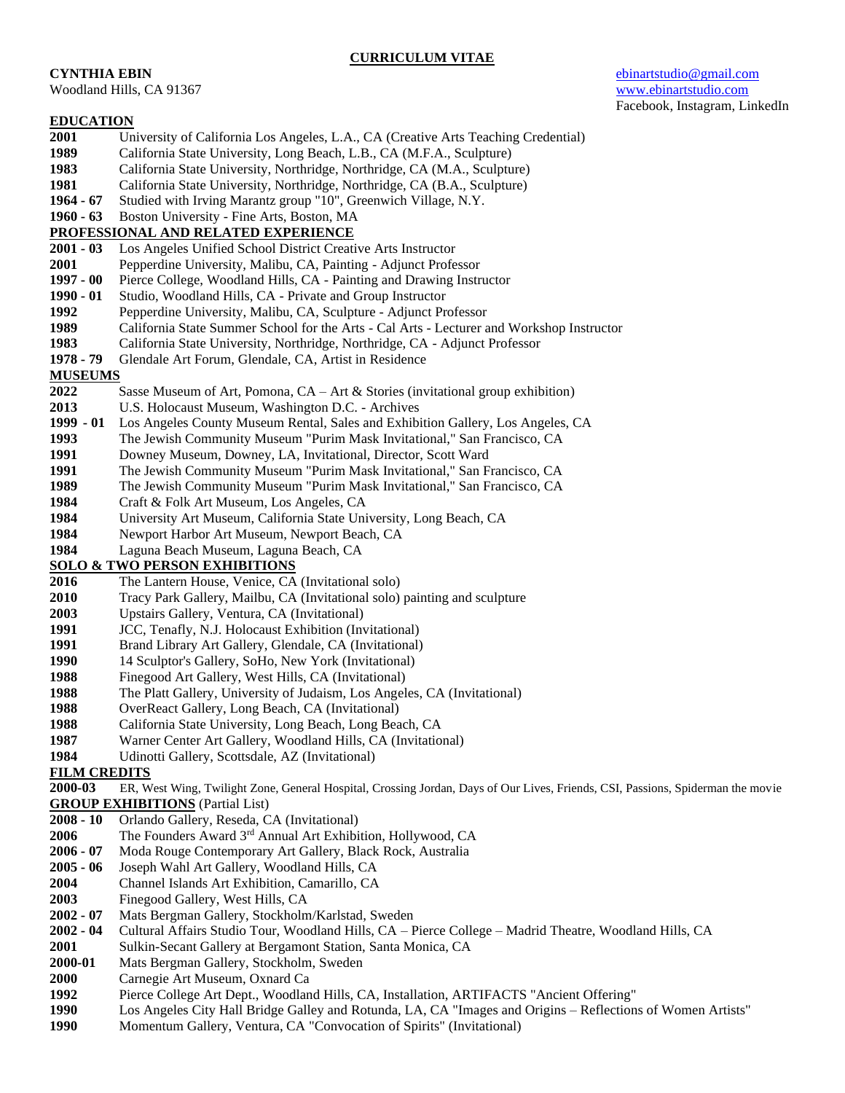# **CURRICULUM VITAE**

**CYNTHIA EBIN** [ebinartstudio@gmail.com](mailto:ebinartstudio@gmail.com) Woodland Hills, CA 91367 [www.ebinartstudio.com](http://www.ebinartstudio.com/) Facebook, Instagram, LinkedIn

- **EDUCATION** University of California Los Angeles, L.A., CA (Creative Arts Teaching Credential) California State University, Long Beach, L.B., CA (M.F.A., Sculpture) California State University, Northridge, Northridge, CA (M.A., Sculpture) California State University, Northridge, Northridge, CA (B.A., Sculpture) **1964 - 67** Studied with Irving Marantz group "10", Greenwich Village, N.Y. **1960 - 63** Boston University - Fine Arts, Boston, MA **PROFESSIONAL AND RELATED EXPERIENCE 2001 - 03** Los Angeles Unified School District Creative Arts Instructor Pepperdine University, Malibu, CA, Painting - Adjunct Professor **1997 - 00** Pierce College, Woodland Hills, CA - Painting and Drawing Instructor **1990 - 01** Studio, Woodland Hills, CA - Private and Group Instructor Pepperdine University, Malibu, CA, Sculpture - Adjunct Professor California State Summer School for the Arts - Cal Arts - Lecturer and Workshop Instructor California State University, Northridge, Northridge, CA - Adjunct Professor **1978 - 79** Glendale Art Forum, Glendale, CA, Artist in Residence **MUSEUMS** Sasse Museum of Art, Pomona, CA – Art & Stories (invitational group exhibition) U.S. Holocaust Museum, Washington D.C. - Archives **- 01** Los Angeles County Museum Rental, Sales and Exhibition Gallery, Los Angeles, CA The Jewish Community Museum "Purim Mask Invitational," San Francisco, CA Downey Museum, Downey, LA, Invitational, Director, Scott Ward The Jewish Community Museum "Purim Mask Invitational," San Francisco, CA The Jewish Community Museum "Purim Mask Invitational," San Francisco, CA Craft & Folk Art Museum, Los Angeles, CA University Art Museum, California State University, Long Beach, CA Newport Harbor Art Museum, Newport Beach, CA Laguna Beach Museum, Laguna Beach, CA **SOLO & TWO PERSON EXHIBITIONS** The Lantern House, Venice, CA (Invitational solo) Tracy Park Gallery, Mailbu, CA (Invitational solo) painting and sculpture Upstairs Gallery, Ventura, CA (Invitational) JCC, Tenafly, N.J. Holocaust Exhibition (Invitational) Brand Library Art Gallery, Glendale, CA (Invitational) 14 Sculptor's Gallery, SoHo, New York (Invitational) Finegood Art Gallery, West Hills, CA (Invitational) The Platt Gallery, University of Judaism, Los Angeles, CA (Invitational) OverReact Gallery, Long Beach, CA (Invitational) California State University, Long Beach, Long Beach, CA Warner Center Art Gallery, Woodland Hills, CA (Invitational) Udinotti Gallery, Scottsdale, AZ (Invitational) **FILM CREDITS 2000-03** ER, West Wing, Twilight Zone, General Hospital, Crossing Jordan, Days of Our Lives, Friends, CSI, Passions, Spiderman the movie **GROUP EXHIBITIONS** (Partial List) **2008 - 10** Orlando Gallery, Reseda, CA (Invitational) The Founders Award 3rd Annual Art Exhibition, Hollywood, CA **2006 - 07** Moda Rouge Contemporary Art Gallery, Black Rock, Australia **2005 - 06** Joseph Wahl Art Gallery, Woodland Hills, CA Channel Islands Art Exhibition, Camarillo, CA Finegood Gallery, West Hills, CA **2002 - 07** Mats Bergman Gallery, Stockholm/Karlstad, Sweden **- 04** Cultural Affairs Studio Tour, Woodland Hills, CA – Pierce College – Madrid Theatre, Woodland Hills, CA 2001 Sulkin-Secant Gallery at Bergamont Station, Santa Monica, CA **2000-01** Mats Bergman Gallery, Stockholm, Sweden Carnegie Art Museum, Oxnard Ca Pierce College Art Dept., Woodland Hills, CA, Installation, ARTIFACTS "Ancient Offering"
- Los Angeles City Hall Bridge Galley and Rotunda, LA, CA "Images and Origins Reflections of Women Artists"
- Momentum Gallery, Ventura, CA "Convocation of Spirits" (Invitational)